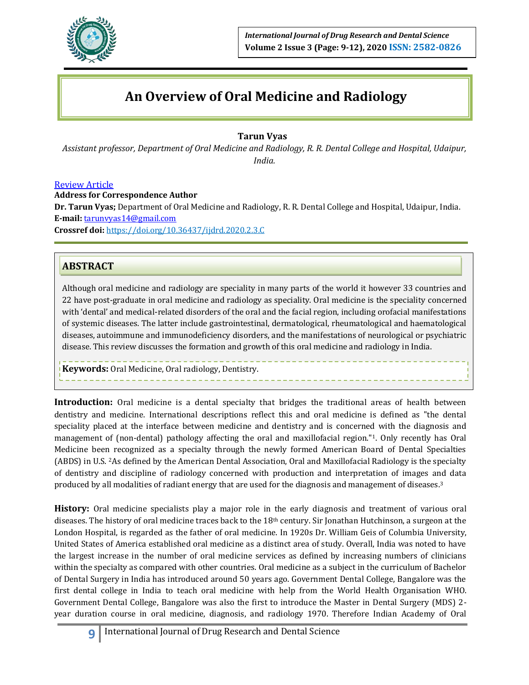

# **An Overview of Oral Medicine and Radiology**

## **Tarun Vyas**

*Assistant professor, Department of Oral Medicine and Radiology, R. R. Dental College and Hospital, Udaipur, India.*

#### Review Article

**Address for Correspondence Author**

**Dr. Tarun Vyas;** Department of Oral Medicine and Radiology, R. R. Dental College and Hospital, Udaipur, India. **E‑mail:** [tarunvyas14@gmail.com](mailto:tarunvyas14@gmail.com)

**Crossref doi:** https://doi.org/10.36437/ijdrd.2020.2.3.C

## **ABSTRACT**

Although oral medicine and radiology are speciality in many parts of the world it however 33 countries and 22 have post-graduate in oral medicine and radiology as speciality. Oral medicine is the speciality concerned with 'dental' and medical-related disorders of the oral and the facial region, including orofacial manifestations of systemic diseases. The latter include gastrointestinal, dermatological, rheumatological and haematological diseases, autoimmune and immunodeficiency disorders, and the manifestations of neurological or psychiatric disease. This review discusses the formation and growth of this oral medicine and radiology in India.

**Keywords:** Oral Medicine, Oral radiology, Dentistry.

**Introduction:** Oral medicine is a dental specialty that bridges the traditional areas of health between dentistry and medicine. International descriptions reflect this and oral medicine is defined as "the dental speciality placed at the interface between medicine and dentistry and is concerned with the diagnosis and management of (non-dental) pathology affecting the oral and maxillofacial region."1. Only recently has Oral Medicine been recognized as a specialty through the newly formed American Board of Dental Specialties (ABDS) in U.S. 2As defined by the American Dental Association, Oral and Maxillofacial Radiology is the specialty of dentistry and discipline of radiology concerned with production and interpretation of images and data produced by all modalities of radiant energy that are used for the diagnosis and management of diseases.<sup>3</sup>

**History:** Oral medicine specialists play a major role in the early diagnosis and treatment of various oral diseases. The history of oral medicine traces back to the 18th century. Sir Jonathan Hutchinson, a surgeon at the London Hospital, is regarded as the father of oral medicine. In 1920s Dr. William Geis of Columbia University, United States of America established oral medicine as a distinct area of study. Overall, India was noted to have the largest increase in the number of oral medicine services as defined by increasing numbers of clinicians within the specialty as compared with other countries. Oral medicine as a subject in the curriculum of Bachelor of Dental Surgery in India has introduced around 50 years ago. Government Dental College, Bangalore was the first dental college in India to teach oral medicine with help from the World Health Organisation WHO. Government Dental College, Bangalore was also the first to introduce the Master in Dental Surgery (MDS) 2 year duration course in oral medicine, diagnosis, and radiology 1970. Therefore Indian Academy of Oral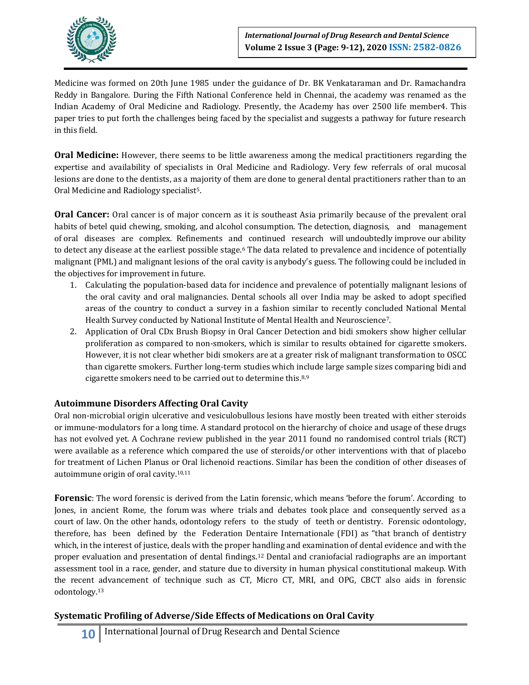

Medicine was formed on 20th June 1985 under the guidance of Dr. BK Venkataraman and Dr. Ramachandra Reddy in Bangalore. During the Fifth National Conference held in Chennai, the academy was renamed as the Indian Academy of Oral Medicine and Radiology. Presently, the Academy has over 2500 life member4. This paper tries to put forth the challenges being faced by the specialist and suggests a pathway for future research in this field.

**Oral Medicine:** However, there seems to be little awareness among the medical practitioners regarding the expertise and availability of specialists in Oral Medicine and Radiology. Very few referrals of oral mucosal lesions are done to the dentists, as a majority of them are done to general dental practitioners rather than to an Oral Medicine and Radiology specialist<sup>5</sup>.

**Oral Cancer:** Oral cancer is of major concern as it is southeast Asia primarily because of the prevalent oral habits of betel quid chewing, smoking, and alcohol consumption. The detection, diagnosis, and management of oral diseases are complex. Refinements and continued research will undoubtedly improve our ability to detect any disease at the earliest possible stage.<sup>6</sup> The data related to prevalence and incidence of potentially malignant (PML) and malignant lesions of the oral cavity is anybody's guess. The following could be included in the objectives for improvement in future.

- 1. Calculating the population-based data for incidence and prevalence of potentially malignant lesions of the oral cavity and oral malignancies. Dental schools all over India may be asked to adopt specified areas of the country to conduct a survey in a fashion similar to recently concluded National Mental Health Survey conducted by National Institute of Mental Health and Neuroscience7.
- 2. Application of Oral CDx Brush Biopsy in Oral Cancer Detection and bidi smokers show higher cellular proliferation as compared to non-smokers, which is similar to results obtained for cigarette smokers. However, it is not clear whether bidi smokers are at a greater risk of malignant transformation to OSCC than cigarette smokers. Further long-term studies which include large sample sizes comparing bidi and cigarette smokers need to be carried out to determine this.8,9

#### **Autoimmune Disorders Affecting Oral Cavity**

Oral non-microbial origin ulcerative and vesiculobullous lesions have mostly been treated with either steroids or immune-modulators for a long time. A standard protocol on the hierarchy of choice and usage of these drugs has not evolved yet. A Cochrane review published in the year 2011 found no randomised control trials (RCT) were available as a reference which compared the use of steroids/or other interventions with that of placebo for treatment of Lichen Planus or Oral lichenoid reactions. Similar has been the condition of other diseases of autoimmune origin of oral cavity.10,11

**Forensic**: The word forensic is derived from the Latin forensic, which means 'before the forum'. According to Jones, in ancient Rome, the forum was where trials and debates took place and consequently served as a court of law. On the other hands, odontology refers to the study of teeth or dentistry. Forensic odontology, therefore, has been defined by the Federation Dentaire Internationale (FDI) as "that branch of dentistry which, in the interest of justice, deals with the proper handling and examination of dental evidence and with the proper evaluation and presentation of dental findings.<sup>12</sup> Dental and craniofacial radiographs are an important assessment tool in a race, gender, and stature due to diversity in human physical constitutional makeup. With the recent advancement of technique such as CT, Micro CT, MRI, and OPG, CBCT also aids in forensic odontology.<sup>13</sup>

## **Systematic Profiling of Adverse/Side Effects of Medications on Oral Cavity**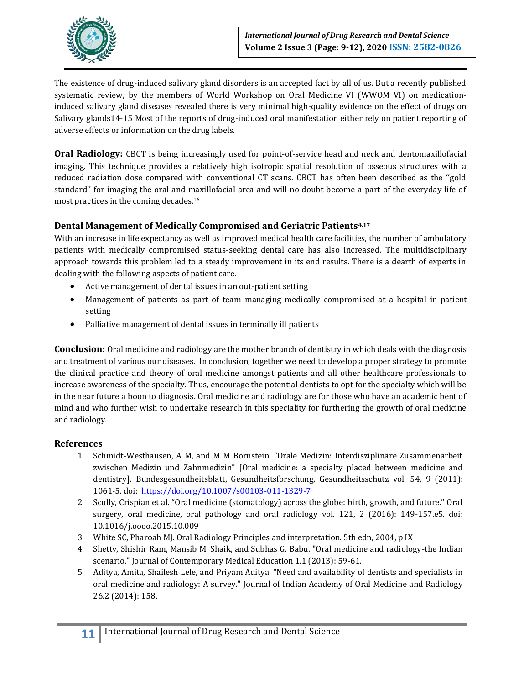

The existence of drug-induced salivary gland disorders is an accepted fact by all of us. But a recently published systematic review, by the members of World Workshop on Oral Medicine VI (WWOM VI) on medicationinduced salivary gland diseases revealed there is very minimal high-quality evidence on the effect of drugs on Salivary glands14-15 Most of the reports of drug-induced oral manifestation either rely on patient reporting of adverse effects or information on the drug labels.

**Oral Radiology:** CBCT is being increasingly used for point-of-service head and neck and dentomaxillofacial imaging. This technique provides a relatively high isotropic spatial resolution of osseous structures with a reduced radiation dose compared with conventional CT scans. CBCT has often been described as the ''gold standard'' for imaging the oral and maxillofacial area and will no doubt become a part of the everyday life of most practices in the coming decades.<sup>16</sup>

### **Dental Management of Medically Compromised and Geriatric Patients4,17**

With an increase in life expectancy as well as improved medical health care facilities, the number of ambulatory patients with medically compromised status-seeking dental care has also increased. The multidisciplinary approach towards this problem led to a steady improvement in its end results. There is a dearth of experts in dealing with the following aspects of patient care.

- Active management of dental issues in an out-patient setting
- Management of patients as part of team managing medically compromised at a hospital in-patient setting
- Palliative management of dental issues in terminally ill patients

**Conclusion:** Oral medicine and radiology are the mother branch of dentistry in which deals with the diagnosis and treatment of various our diseases. In conclusion, together we need to develop a proper strategy to promote the clinical practice and theory of oral medicine amongst patients and all other healthcare professionals to increase awareness of the specialty. Thus, encourage the potential dentists to opt for the specialty which will be in the near future a boon to diagnosis. Oral medicine and radiology are for those who have an academic bent of mind and who further wish to undertake research in this speciality for furthering the growth of oral medicine and radiology.

#### **References**

- 1. Schmidt-Westhausen, A M, and M M Bornstein. "Orale Medizin: Interdisziplinäre Zusammenarbeit zwischen Medizin und Zahnmedizin" [Oral medicine: a specialty placed between medicine and dentistry]. Bundesgesundheitsblatt, Gesundheitsforschung, Gesundheitsschutz vol. 54, 9 (2011): 1061-5. doi: <https://doi.org/10.1007/s00103-011-1329-7>
- 2. Scully, Crispian et al. "Oral medicine (stomatology) across the globe: birth, growth, and future." Oral surgery, oral medicine, oral pathology and oral radiology vol. 121, 2 (2016): 149-157.e5. doi: 10.1016/j.oooo.2015.10.009
- 3. White SC, Pharoah MJ. Oral Radiology Principles and interpretation. 5th edn, 2004, p IX
- 4. Shetty, Shishir Ram, Mansib M. Shaik, and Subhas G. Babu. "Oral medicine and radiology-the Indian scenario." Journal of Contemporary Medical Education 1.1 (2013): 59-61.
- 5. Aditya, Amita, Shailesh Lele, and Priyam Aditya. "Need and availability of dentists and specialists in oral medicine and radiology: A survey." Journal of Indian Academy of Oral Medicine and Radiology 26.2 (2014): 158.